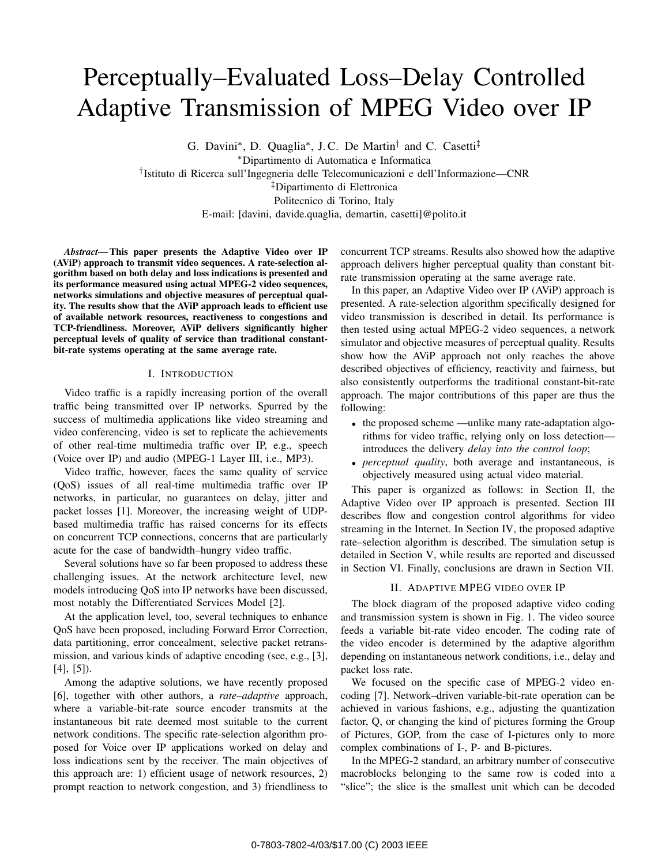# Perceptually–Evaluated Loss–Delay Controlled Adaptive Transmission of MPEG Video over IP

G. Davini*∗*, D. Quaglia*∗*, J. C. De Martin*†* and C. Casetti*‡ ∗*Dipartimento di Automatica e Informatica *†*Istituto di Ricerca sull'Ingegneria delle Telecomunicazioni e dell'Informazione—CNR *‡*Dipartimento di Elettronica Politecnico di Torino, Italy E-mail: [davini, davide.quaglia, demartin, casetti]@polito.it

*Abstract***— This paper presents the Adaptive Video over IP (AViP) approach to transmit video sequences. A rate-selection algorithm based on both delay and loss indications is presented and its performance measured using actual MPEG-2 video sequences, networks simulations and objective measures of perceptual quality. The results show that the AViP approach leads to efficient use of available network resources, reactiveness to congestions and TCP-friendliness. Moreover, AViP delivers significantly higher perceptual levels of quality of service than traditional constantbit-rate systems operating at the same average rate.**

#### I. INTRODUCTION

Video traffic is a rapidly increasing portion of the overall traffic being transmitted over IP networks. Spurred by the success of multimedia applications like video streaming and video conferencing, video is set to replicate the achievements of other real-time multimedia traffic over IP, e.g., speech (Voice over IP) and audio (MPEG-1 Layer III, i.e., MP3).

Video traffic, however, faces the same quality of service (QoS) issues of all real-time multimedia traffic over IP networks, in particular, no guarantees on delay, jitter and packet losses [1]. Moreover, the increasing weight of UDPbased multimedia traffic has raised concerns for its effects on concurrent TCP connections, concerns that are particularly acute for the case of bandwidth–hungry video traffic.

Several solutions have so far been proposed to address these challenging issues. At the network architecture level, new models introducing QoS into IP networks have been discussed, most notably the Differentiated Services Model [2].

At the application level, too, several techniques to enhance QoS have been proposed, including Forward Error Correction, data partitioning, error concealment, selective packet retransmission, and various kinds of adaptive encoding (see, e.g., [3], [4], [5]).

Among the adaptive solutions, we have recently proposed [6], together with other authors, a *rate–adaptive* approach, where a variable-bit-rate source encoder transmits at the instantaneous bit rate deemed most suitable to the current network conditions. The specific rate-selection algorithm proposed for Voice over IP applications worked on delay and loss indications sent by the receiver. The main objectives of this approach are: 1) efficient usage of network resources, 2) prompt reaction to network congestion, and 3) friendliness to

concurrent TCP streams. Results also showed how the adaptive approach delivers higher perceptual quality than constant bitrate transmission operating at the same average rate.

In this paper, an Adaptive Video over IP (AViP) approach is presented. A rate-selection algorithm specifically designed for video transmission is described in detail. Its performance is then tested using actual MPEG-2 video sequences, a network simulator and objective measures of perceptual quality. Results show how the AViP approach not only reaches the above described objectives of efficiency, reactivity and fairness, but also consistently outperforms the traditional constant-bit-rate approach. The major contributions of this paper are thus the following:

- the proposed scheme —unlike many rate-adaptation algorithms for video traffic, relying only on loss detection introduces the delivery *delay into the control loop*;
- *• perceptual quality*, both average and instantaneous, is objectively measured using actual video material.

This paper is organized as follows: in Section II, the Adaptive Video over IP approach is presented. Section III describes flow and congestion control algorithms for video streaming in the Internet. In Section IV, the proposed adaptive rate–selection algorithm is described. The simulation setup is detailed in Section V, while results are reported and discussed in Section VI. Finally, conclusions are drawn in Section VII.

#### II. ADAPTIVE MPEG VIDEO OVER IP

The block diagram of the proposed adaptive video coding and transmission system is shown in Fig. 1. The video source feeds a variable bit-rate video encoder. The coding rate of the video encoder is determined by the adaptive algorithm depending on instantaneous network conditions, i.e., delay and packet loss rate.

We focused on the specific case of MPEG-2 video encoding [7]. Network–driven variable-bit-rate operation can be achieved in various fashions, e.g., adjusting the quantization factor, Q, or changing the kind of pictures forming the Group of Pictures, GOP, from the case of I-pictures only to more complex combinations of I-, P- and B-pictures.

In the MPEG-2 standard, an arbitrary number of consecutive macroblocks belonging to the same row is coded into a "slice"; the slice is the smallest unit which can be decoded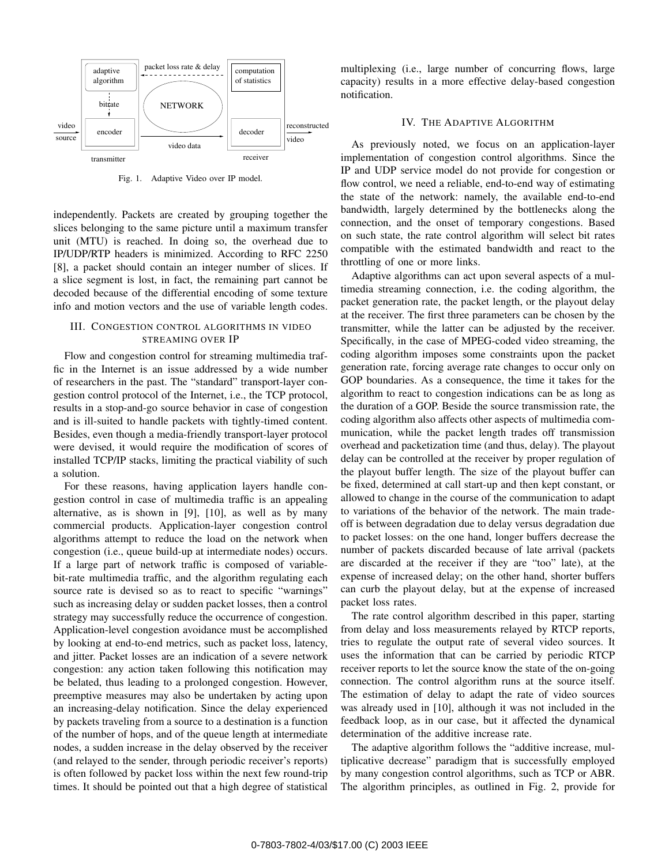

Fig. 1. Adaptive Video over IP model.

independently. Packets are created by grouping together the slices belonging to the same picture until a maximum transfer unit (MTU) is reached. In doing so, the overhead due to IP/UDP/RTP headers is minimized. According to RFC 2250 [8], a packet should contain an integer number of slices. If a slice segment is lost, in fact, the remaining part cannot be decoded because of the differential encoding of some texture info and motion vectors and the use of variable length codes.

## III. CONGESTION CONTROL ALGORITHMS IN VIDEO STREAMING OVER IP

Flow and congestion control for streaming multimedia traffic in the Internet is an issue addressed by a wide number of researchers in the past. The "standard" transport-layer congestion control protocol of the Internet, i.e., the TCP protocol, results in a stop-and-go source behavior in case of congestion and is ill-suited to handle packets with tightly-timed content. Besides, even though a media-friendly transport-layer protocol were devised, it would require the modification of scores of installed TCP/IP stacks, limiting the practical viability of such a solution.

For these reasons, having application layers handle congestion control in case of multimedia traffic is an appealing alternative, as is shown in [9], [10], as well as by many commercial products. Application-layer congestion control algorithms attempt to reduce the load on the network when congestion (i.e., queue build-up at intermediate nodes) occurs. If a large part of network traffic is composed of variablebit-rate multimedia traffic, and the algorithm regulating each source rate is devised so as to react to specific "warnings" such as increasing delay or sudden packet losses, then a control strategy may successfully reduce the occurrence of congestion. Application-level congestion avoidance must be accomplished by looking at end-to-end metrics, such as packet loss, latency, and jitter. Packet losses are an indication of a severe network congestion: any action taken following this notification may be belated, thus leading to a prolonged congestion. However, preemptive measures may also be undertaken by acting upon an increasing-delay notification. Since the delay experienced by packets traveling from a source to a destination is a function of the number of hops, and of the queue length at intermediate nodes, a sudden increase in the delay observed by the receiver (and relayed to the sender, through periodic receiver's reports) is often followed by packet loss within the next few round-trip times. It should be pointed out that a high degree of statistical multiplexing (i.e., large number of concurring flows, large capacity) results in a more effective delay-based congestion notification.

#### IV. THE ADAPTIVE ALGORITHM

As previously noted, we focus on an application-layer implementation of congestion control algorithms. Since the IP and UDP service model do not provide for congestion or flow control, we need a reliable, end-to-end way of estimating the state of the network: namely, the available end-to-end bandwidth, largely determined by the bottlenecks along the connection, and the onset of temporary congestions. Based on such state, the rate control algorithm will select bit rates compatible with the estimated bandwidth and react to the throttling of one or more links.

Adaptive algorithms can act upon several aspects of a multimedia streaming connection, i.e. the coding algorithm, the packet generation rate, the packet length, or the playout delay at the receiver. The first three parameters can be chosen by the transmitter, while the latter can be adjusted by the receiver. Specifically, in the case of MPEG-coded video streaming, the coding algorithm imposes some constraints upon the packet generation rate, forcing average rate changes to occur only on GOP boundaries. As a consequence, the time it takes for the algorithm to react to congestion indications can be as long as the duration of a GOP. Beside the source transmission rate, the coding algorithm also affects other aspects of multimedia communication, while the packet length trades off transmission overhead and packetization time (and thus, delay). The playout delay can be controlled at the receiver by proper regulation of the playout buffer length. The size of the playout buffer can be fixed, determined at call start-up and then kept constant, or allowed to change in the course of the communication to adapt to variations of the behavior of the network. The main tradeoff is between degradation due to delay versus degradation due to packet losses: on the one hand, longer buffers decrease the number of packets discarded because of late arrival (packets are discarded at the receiver if they are "too" late), at the expense of increased delay; on the other hand, shorter buffers can curb the playout delay, but at the expense of increased packet loss rates.

The rate control algorithm described in this paper, starting from delay and loss measurements relayed by RTCP reports, tries to regulate the output rate of several video sources. It uses the information that can be carried by periodic RTCP receiver reports to let the source know the state of the on-going connection. The control algorithm runs at the source itself. The estimation of delay to adapt the rate of video sources was already used in [10], although it was not included in the feedback loop, as in our case, but it affected the dynamical determination of the additive increase rate.

The adaptive algorithm follows the "additive increase, multiplicative decrease" paradigm that is successfully employed by many congestion control algorithms, such as TCP or ABR. The algorithm principles, as outlined in Fig. 2, provide for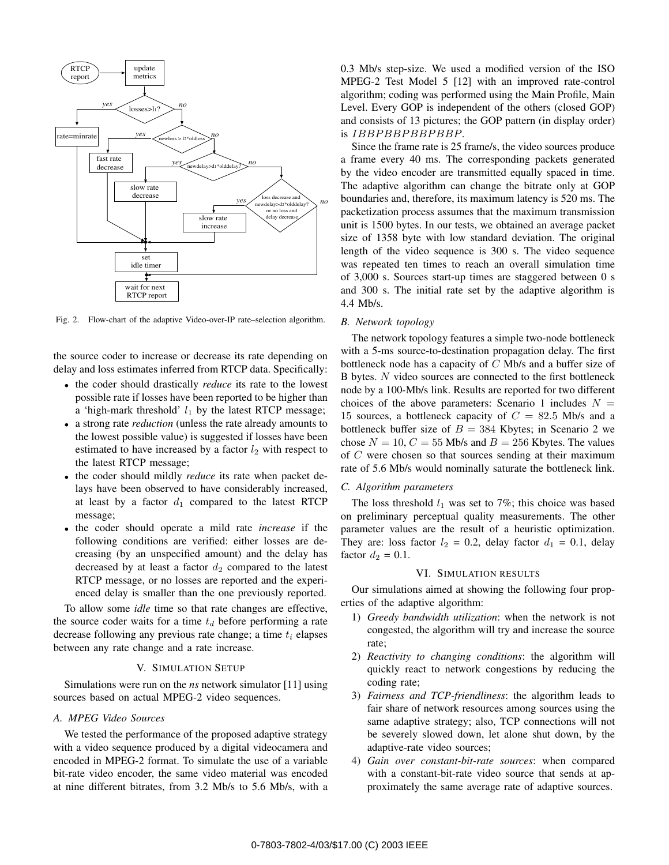

Fig. 2. Flow-chart of the adaptive Video-over-IP rate–selection algorithm.

the source coder to increase or decrease its rate depending on delay and loss estimates inferred from RTCP data. Specifically:

- *•* the coder should drastically *reduce* its rate to the lowest possible rate if losses have been reported to be higher than a 'high-mark threshold'  $l_1$  by the latest RTCP message;
- *•* a strong rate *reduction* (unless the rate already amounts to the lowest possible value) is suggested if losses have been estimated to have increased by a factor  $l_2$  with respect to the latest RTCP message;
- *•* the coder should mildly *reduce* its rate when packet delays have been observed to have considerably increased, at least by a factor  $d_1$  compared to the latest RTCP message;
- *•* the coder should operate a mild rate *increase* if the following conditions are verified: either losses are decreasing (by an unspecified amount) and the delay has decreased by at least a factor  $d_2$  compared to the latest RTCP message, or no losses are reported and the experienced delay is smaller than the one previously reported.

To allow some *idle* time so that rate changes are effective, the source coder waits for a time *t<sup>d</sup>* before performing a rate decrease following any previous rate change; a time *t<sup>i</sup>* elapses between any rate change and a rate increase.

### V. SIMULATION SETUP

Simulations were run on the *ns* network simulator [11] using sources based on actual MPEG-2 video sequences.

## *A. MPEG Video Sources*

We tested the performance of the proposed adaptive strategy with a video sequence produced by a digital videocamera and encoded in MPEG-2 format. To simulate the use of a variable bit-rate video encoder, the same video material was encoded at nine different bitrates, from 3.2 Mb/s to 5.6 Mb/s, with a 0.3 Mb/s step-size. We used a modified version of the ISO MPEG-2 Test Model 5 [12] with an improved rate-control algorithm; coding was performed using the Main Profile, Main Level. Every GOP is independent of the others (closed GOP) and consists of 13 pictures; the GOP pattern (in display order) is *IBBPBBPBBPBBP*.

Since the frame rate is 25 frame/s, the video sources produce a frame every 40 ms. The corresponding packets generated by the video encoder are transmitted equally spaced in time. The adaptive algorithm can change the bitrate only at GOP boundaries and, therefore, its maximum latency is 520 ms. The packetization process assumes that the maximum transmission unit is 1500 bytes. In our tests, we obtained an average packet size of 1358 byte with low standard deviation. The original length of the video sequence is 300 s. The video sequence was repeated ten times to reach an overall simulation time of 3,000 s. Sources start-up times are staggered between 0 s and 300 s. The initial rate set by the adaptive algorithm is 4.4 Mb/s.

#### *B. Network topology*

The network topology features a simple two-node bottleneck with a 5-ms source-to-destination propagation delay. The first bottleneck node has a capacity of *C* Mb/s and a buffer size of B bytes. *N* video sources are connected to the first bottleneck node by a 100-Mb/s link. Results are reported for two different choices of the above parameters: Scenario 1 includes  $N =$ 15 sources, a bottleneck capacity of  $C = 82.5$  Mb/s and a bottleneck buffer size of  $B = 384$  Kbytes; in Scenario 2 we chose  $N = 10$ ,  $C = 55$  Mb/s and  $B = 256$  Kbytes. The values of *C* were chosen so that sources sending at their maximum rate of 5.6 Mb/s would nominally saturate the bottleneck link.

#### *C. Algorithm parameters*

The loss threshold  $l_1$  was set to 7%; this choice was based on preliminary perceptual quality measurements. The other parameter values are the result of a heuristic optimization. They are: loss factor  $l_2 = 0.2$ , delay factor  $d_1 = 0.1$ , delay factor  $d_2 = 0.1$ .

## VI. SIMULATION RESULTS

Our simulations aimed at showing the following four properties of the adaptive algorithm:

- 1) *Greedy bandwidth utilization*: when the network is not congested, the algorithm will try and increase the source rate;
- 2) *Reactivity to changing conditions*: the algorithm will quickly react to network congestions by reducing the coding rate;
- 3) *Fairness and TCP-friendliness*: the algorithm leads to fair share of network resources among sources using the same adaptive strategy; also, TCP connections will not be severely slowed down, let alone shut down, by the adaptive-rate video sources;
- 4) *Gain over constant-bit-rate sources*: when compared with a constant-bit-rate video source that sends at approximately the same average rate of adaptive sources.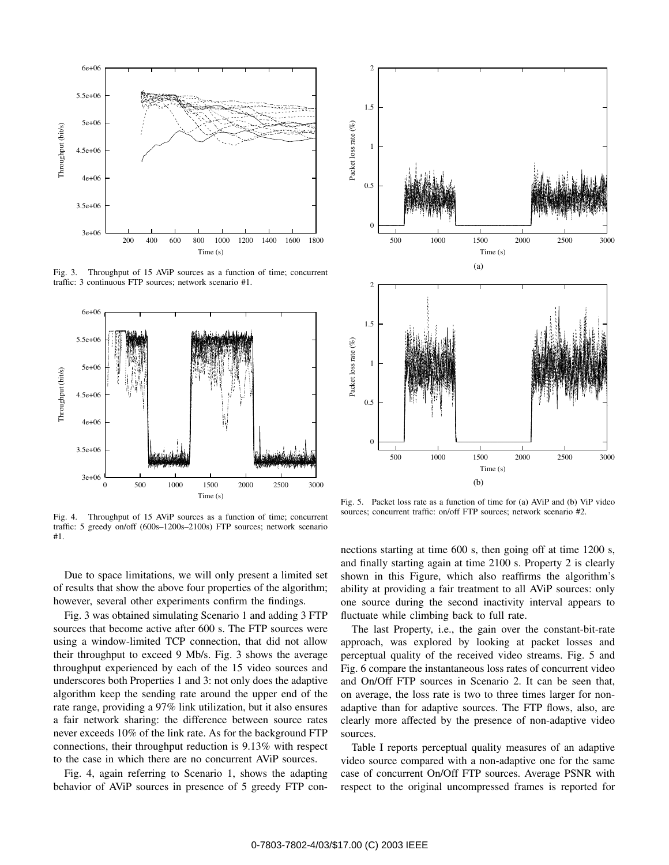

Fig. 3. Throughput of 15 AViP sources as a function of time; concurrent traffic: 3 continuous FTP sources; network scenario #1.



Fig. 4. Throughput of 15 AViP sources as a function of time; concurrent traffic: 5 greedy on/off (600s–1200s–2100s) FTP sources; network scenario #1.

Due to space limitations, we will only present a limited set of results that show the above four properties of the algorithm; however, several other experiments confirm the findings.

Fig. 3 was obtained simulating Scenario 1 and adding 3 FTP sources that become active after 600 s. The FTP sources were using a window-limited TCP connection, that did not allow their throughput to exceed 9 Mb/s. Fig. 3 shows the average throughput experienced by each of the 15 video sources and underscores both Properties 1 and 3: not only does the adaptive algorithm keep the sending rate around the upper end of the rate range, providing a 97% link utilization, but it also ensures a fair network sharing: the difference between source rates never exceeds 10% of the link rate. As for the background FTP connections, their throughput reduction is 9.13% with respect to the case in which there are no concurrent AViP sources.

Fig. 4, again referring to Scenario 1, shows the adapting behavior of AViP sources in presence of 5 greedy FTP con-



Fig. 5. Packet loss rate as a function of time for (a) AViP and (b) ViP video sources; concurrent traffic: on/off FTP sources; network scenario #2.

nections starting at time 600 s, then going off at time 1200 s, and finally starting again at time 2100 s. Property 2 is clearly shown in this Figure, which also reaffirms the algorithm's ability at providing a fair treatment to all AViP sources: only one source during the second inactivity interval appears to fluctuate while climbing back to full rate.

The last Property, i.e., the gain over the constant-bit-rate approach, was explored by looking at packet losses and perceptual quality of the received video streams. Fig. 5 and Fig. 6 compare the instantaneous loss rates of concurrent video and On/Off FTP sources in Scenario 2. It can be seen that, on average, the loss rate is two to three times larger for nonadaptive than for adaptive sources. The FTP flows, also, are clearly more affected by the presence of non-adaptive video sources.

Table I reports perceptual quality measures of an adaptive video source compared with a non-adaptive one for the same case of concurrent On/Off FTP sources. Average PSNR with respect to the original uncompressed frames is reported for